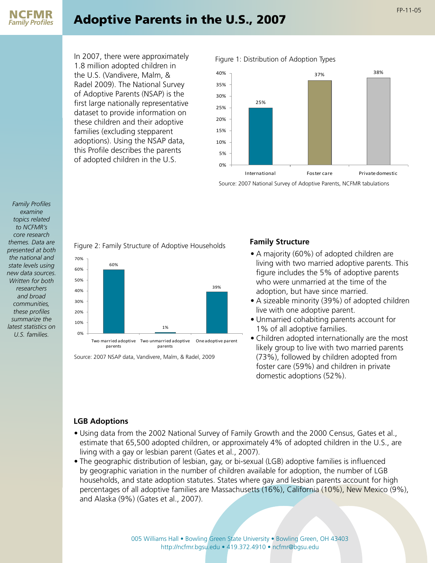

# Adoptive Parents in the U.S., 2007

FP-11-05

In 2007, there were approximately 1.8 million adopted children in the U.S. (Vandivere, Malm, & Radel 2009). The National Survey of Adoptive Parents (NSAP) is the first large nationally representative dataset to provide information on these children and their adoptive families (excluding stepparent adoptions). Using the NSAP data, this Profile describes the parents of adopted children in the U.S.





Source: 2007 National Survey of Adoptive Parents, NCFMR tabulations

*Family Profiles examine topics related to NCFMR's core research themes. Data are presented at both the national and state levels using new data sources. Written for both researchers and broad communities, these profiles summarize the latest statistics on U.S. families.*

# Figure 2: Family Structure of Adoptive Households



Source: 2007 NSAP data, Vandivere, Malm, & Radel, 2009

### **Family Structure**

- A majority (60%) of adopted children are living with two married adoptive parents. This figure includes the 5% of adoptive parents who were unmarried at the time of the adoption, but have since married.
- A sizeable minority (39%) of adopted children live with one adoptive parent.
- Unmarried cohabiting parents account for 1% of all adoptive families.
- Children adopted internationally are the most likely group to live with two married parents (73%), followed by children adopted from foster care (59%) and children in private domestic adoptions (52%).

# **LGB Adoptions**

- Using data from the 2002 National Survey of Family Growth and the 2000 Census, Gates et al., estimate that 65,500 adopted children, or approximately 4% of adopted children in the U.S., are living with a gay or lesbian parent (Gates et al., 2007).
- The geographic distribution of lesbian, gay, or bi-sexual (LGB) adoptive families is influenced by geographic variation in the number of children available for adoption, the number of LGB households, and state adoption statutes. States where gay and lesbian parents account for high percentages of all adoptive families are Massachusetts (16%), California (10%), New Mexico (9%), and Alaska (9%) (Gates et al., 2007).

005 Williams Hall • Bowling Green State University • Bowling Green, OH 43403 http://ncfmr.bgsu.edu • 419.372.4910 • ncfmr@bgsu.edu